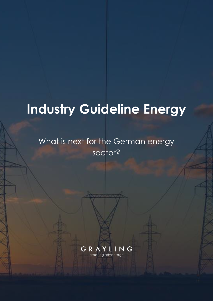# **Industry Guideline Energy**

# What is next for the German energy sector?

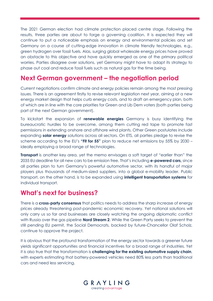The 2021 German election had climate protection placed centre stage. Following the results, three parties are about to forge a governing coalition. It is expected they will continue to put a noticeable emphasis on energy and environmental policies and set Germany on a course of cutting-edge innovation in climate friendly technologies, e.g., green hydrogen over fossil fuels. Alas, surging global wholesale energy prices have proved an obstacle to this objective and have quickly emerged as one of the primary political worries. Parties disagree over solutions, yet Germany might have to adapt its strategy to phase out coal and reduce fossil fuels such as natural gas for the time being.

#### **Next German government – the negotiation period**

Current negotiations confirm climate and energy policies remain among the most pressing issues. There is an agreement firstly to revise relevant legislation next year, aiming at a new energy market design that helps curb energy costs, and to draft an emergency plan, both of which are in line with the core priorities for Green and Lib Dem voters (both parties being part of the next German government).

To kickstart the expansion of **renewable energies** Germany is busy identifying the bureaucratic hurdles to be overcome, among them cutting red tape to promote fast permissions in extending onshore and offshore wind plants. Other Green postulates include expanding **solar energy** solutions across all sectors. On ETS, all parties pledge to revise the scheme according to the EU's **"Fit for 55"** plan to reduce net emissions by 55% by 2030 – ideally employing a broad range of technologies.

**Transport** is another key area, yet the memo envisages a soft target of "earlier than" the 2035 EU deadline for all new cars to be emission free. That's including **e-powered cars,** since all parties plan to turn Germany's powerful automotive sector, with its handful of major players plus thousands of medium-sized suppliers, into a global e-mobility leader. Public transport, on the other hand, is to be expanded using **intelligent transportation systems** for individual transport.

#### **What's next for business?**

There is a **cross-party consensus** that politics needs to address the sharp increase of energy prices already threatening post-pandemic economic recovery. Yet national solutions will only carry us so far and businesses are closely watching the ongoing diplomatic conflict with Russia over the gas pipeline **Nord Stream 2**. While the Green Party seeks to prevent the still pending EU permit, the Social Democrats, backed by future-Chancellor Olaf Scholz, continue to approve the project.

It is obvious that the profound transformation of the energy sector towards a greener future yields significant opportunities and financial incentives for a broad range of industries. Yet it is also true that the transformation is **challenging for the existing automotive supply chain**, with experts estimating that battery-powered vehicles need 80% less parts than traditional cars and need less servicing.

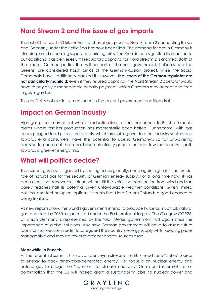#### **Nord Stream 2 and the issue of gas imports**

The first of the two 1230-kilometre stretches of gas pipeline Nord Stream 2 connecting Russia and Germany under the Baltic Sea has now been filled. The demand for gas in Germany is climbing, amid a looming supply and pricing crisis. The Kremlin had signalled its intention to cut additional gas deliveries until regulatory approval for Nord Stream 2 is granted. Both of the smaller German parties that will be part of the next government, LibDems and the Greens, are considered harsh critics of the German-Russian project, while the Social Democrats have traditionally backed it. However, **the levers of the German regulator are not particularly manifold:** even if they refused approval, the Nord Stream 2 operator would have to pay only a manageable penalty payment, which Gazprom may accept and feed in gas regardless.

This conflict is not explicitly mentioned in the current government coalition draft.

### **Impact on German industry**

High gas prices may affect whole production lines, as has happened to British ammonia plants whose fertiliser production has momentarily been halted. Furthermore, with gas prices pegged to oil prices, the effects, which are spilling over to other industry sectors and towards end consumers, have the potential to upend Germany's so far unwavering decision to phase out their coal-based electricity generation and slow the country's path towards a greener energy mix.

#### **What will politics decide?**

The current gas crisis, triggered by soaring prices globally, once again highlights the crucial role of natural gas for the security of German energy supply. For a long time now, it has been clear that renewables alone will not fill the void; the contribution from wind and sun barely reaches half its potential given unfavourable weather conditions. Given limited political and technological options, it seems that Nord Stream 2 stands a good chance of being finalised.

As new reports show, the world's governments intend to produce twice as much oil, natural gas, and coal by 2030, as permitted under the Paris protocol targets. The Glasgow COP26, at which Germany is represented by the 'old' Merkel government, will again stress the importance of global solutions. Any new German government will have to assess future room for manoeuvre in order to safeguard the country's energy supply whilst keeping prices manageable and moving towards greener energy sources asap.

#### **Meanwhile in Brussels**

At the recent EU summit, Ursula von der Leyen stressed the EU's need for a "stable" source of energy to back renewable-generated energy. Her focus is on nuclear energy and natural gas to bridge the 'transition' to climate neutrality. One could interpret this as confirmation that the EU will indeed grant a sustainability label to nuclear power and